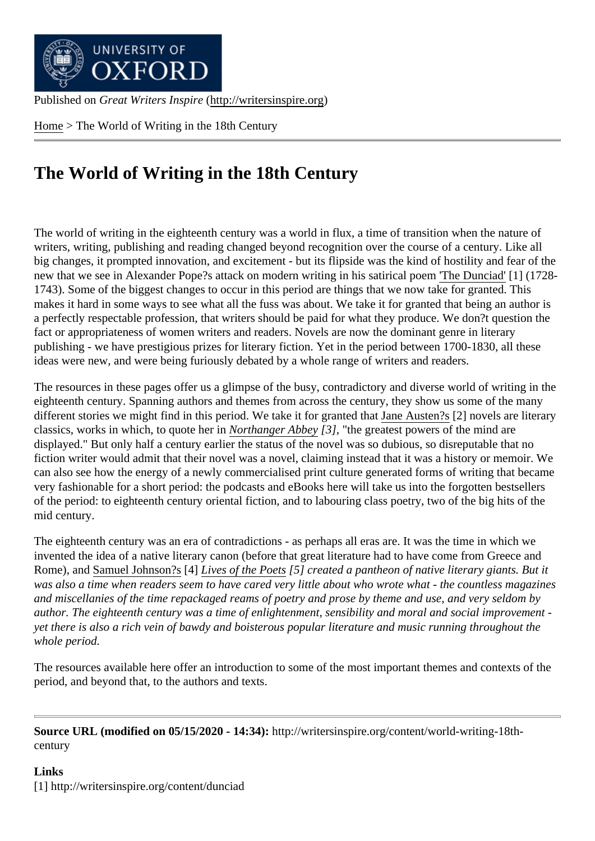Home > The World of Writing in the 18th Century

## [The](http://writersinspire.org/) World of Writing in the 18th Century

The world of writing in the eighteenth century was a world in flux, a time of transition when the nature of writers, writing, publishing and reading changed beyond recognition over the course of a century. Like all big changes, it prompted innovation, and excitement - but its flipside was the kind of hostility and fear of the new that we see in Alexander Pope?s attack on modern writing in his satirical The Dunciad<sup>[1]</sup> (1728-1743). Some of the biggest changes to occur in this period are things that we now take for granted. This makes it hard in some ways to see what all the fuss was about. We take it for granted that being an author is a perfectly respectable profession, that writers should be paid for what they [produce. We](http://writersinspire.org/content/dunciad) don?t question the fact or appropriateness of women writers and readers. Novels are now the dominant genre in literary publishing - we have prestigious prizes for literary fiction. Yet in the period between 1700-1830, all these ideas were new, and were being furiously debated by a whole range of writers and readers.

The resources in these pages offer us a glimpse of the busy, contradictory and diverse world of writing in the eighteenth century. Spanning authors and themes from across the century, they show us some of the many different stories we might find in this period. We take it for granted that Austen?[2] novels are literary classics, works in which, to quote her Northanger Abbe<sup>[2]</sup>, "the greatest powers of the mind are displayed." But only half a century earlier the status of the novel was so dubious, so disreputable that no fiction writer would admit that their novel was a novel, claiming in[stead that it w](http://writersinspire.org/writers/jane-austen)as a history or memoir. We can also see how the energy of a ne[wly commercialise](http://writersinspire.org/content/northanger-abbey-0)d print culture generated forms of writing that became very fashionable for a short period: the podcasts and eBooks here will take us into the forgotten bestsellers of the period: to eighteenth century oriental fiction, and to labouring class poetry, two of the big hits of the mid century.

The eighteenth century was an era of contradictions - as perhaps all eras are. It was the time in which we invented the idea of a native literary canon (before that great literature had to have come from Greece and Rome), and Samuel Johnson<sup>[4]</sup> Lives of the Poet<sup>5</sup>] created a pantheon of native literary giants. But it was also a time when readers seem to have cared very little about who wrote what - the countless magazines and miscellanies of the time repackaged reams of poetry and prose by theme and use, and very seldom by author. Th[e eighteenth centu](http://writersinspire.org/writers/samuel-johnson)ry [was a time of en](http://writersinspire.org/content/lives-most-eminent-english-poets-v-14)lightenment, sensibility and moral and social improvement yet there is also a rich vein of bawdy and boisterous popular literature and music running throughout the whole period.

The resources available here offer an introduction to some of the most important themes and contexts of the period, and beyond that, to the authors and texts.

Source URL (modified on 05/15/2020 - 14:34http://writersinspire.org/content/world-writing-18thcentury

Links [1] http://writersinspire.org/content/dunciad